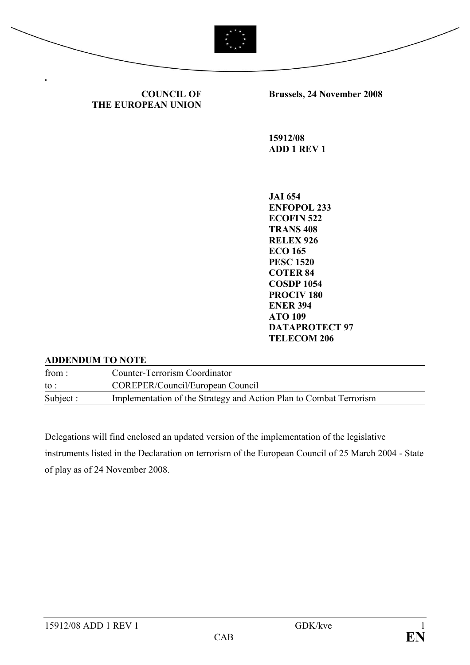

**Brussels, 24 November 2008** 

**15912/08 ADD 1 REV 1** 

**COUNCIL OF** 

**THE EUROPEAN UNION** 

**JAI 654 EFOPOL 233 ECOFIN 522 TRANS 408 RELEX 926 ECO 165 PESC 1520 COTER 84 COSDP 1054 PROCIV 180 EER 394 ATO 109 DATAPROTECT 97 TELECOM 206** 

## **ADDENDUM TO NOTE**

from : Counter-Terrorism Coordinator to : COREPER/Council/European Council Subject : Implementation of the Strategy and Action Plan to Combat Terrorism

Delegations will find enclosed an updated version of the implementation of the legislative instruments listed in the Declaration on terrorism of the European Council of 25 March 2004 - State of play as of 24 November 2008.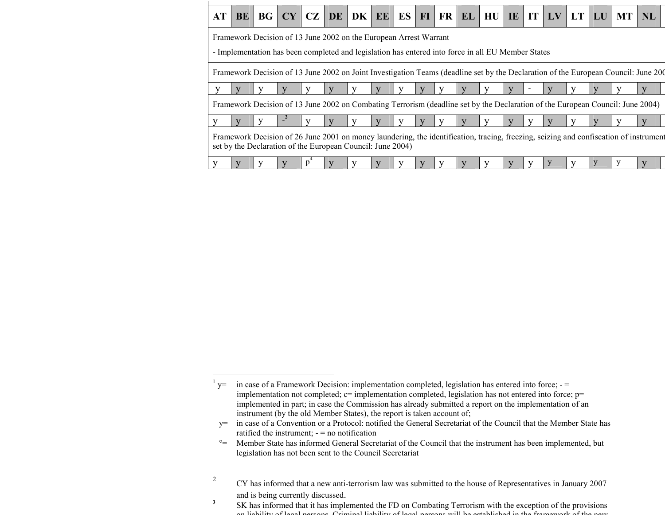| AT                                                                                                                             | <b>BE</b>                                                                                                                          | BG |  |  |  |                                                                   |  |  |  |  |  | $ CY CZ DE DK EE ES FI FR EL HU IE IT LV LT LU$                                                    |  |  |  |   | MT | <b>NL</b>                                                                                                                             |
|--------------------------------------------------------------------------------------------------------------------------------|------------------------------------------------------------------------------------------------------------------------------------|----|--|--|--|-------------------------------------------------------------------|--|--|--|--|--|----------------------------------------------------------------------------------------------------|--|--|--|---|----|---------------------------------------------------------------------------------------------------------------------------------------|
|                                                                                                                                |                                                                                                                                    |    |  |  |  | Framework Decision of 13 June 2002 on the European Arrest Warrant |  |  |  |  |  | - Implementation has been completed and legislation has entered into force in all EU Member States |  |  |  |   |    |                                                                                                                                       |
|                                                                                                                                | Framework Decision of 13 June 2002 on Joint Investigation Teams (deadline set by the Declaration of the European Council: June 200 |    |  |  |  |                                                                   |  |  |  |  |  |                                                                                                    |  |  |  |   |    |                                                                                                                                       |
| V                                                                                                                              |                                                                                                                                    |    |  |  |  |                                                                   |  |  |  |  |  |                                                                                                    |  |  |  |   |    |                                                                                                                                       |
| Framework Decision of 13 June 2002 on Combating Terrorism (deadline set by the Declaration of the European Council: June 2004) |                                                                                                                                    |    |  |  |  |                                                                   |  |  |  |  |  |                                                                                                    |  |  |  |   |    |                                                                                                                                       |
|                                                                                                                                |                                                                                                                                    | y  |  |  |  |                                                                   |  |  |  |  |  |                                                                                                    |  |  |  |   |    |                                                                                                                                       |
|                                                                                                                                |                                                                                                                                    |    |  |  |  | set by the Declaration of the European Council: June 2004)        |  |  |  |  |  |                                                                                                    |  |  |  |   |    | Framework Decision of 26 June 2001 on money laundering, the identification, tracing, freezing, seizing and confiscation of instrument |
|                                                                                                                                |                                                                                                                                    |    |  |  |  |                                                                   |  |  |  |  |  |                                                                                                    |  |  |  | V | V  |                                                                                                                                       |

 $1$  y= in case of a Framework Decision: implementation completed, legislation has entered into force; - = implementation not completed;  $c=$  implementation completed, legislation has not entered into force;  $p=$  implemented in part; in case the Commission has already submitted a report on the implementation of aninstrument (by the old Member States), the report is taken account of;

 y= in case of a Convention or a Protocol: notified the General Secretariat of the Council that the Member State has ratified the instrument; - = no notification

°= Member State has informed General Secretariat of the Council that the instrument has been implemented, but legislation has not been sent to the Council Secretariat

<sup>2</sup> CY has informed that a new anti-terrorism law was submitted to the house of Representatives in January 2007 and is being currently discussed.

<sup>&</sup>lt;sup>3</sup> SK has informed that it has implemented the FD on Combating Terrorism with the exception of the provisions on liability of legal persons. Criminal liability of legal persons will be established in the framework of the new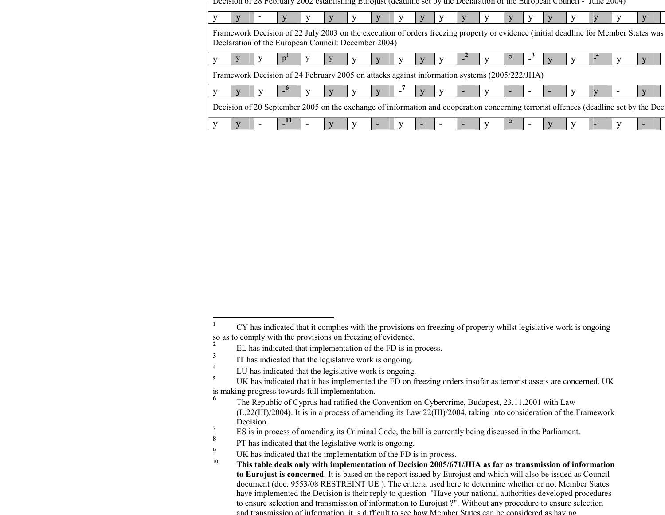|                                                                                              | Decision of zo reorgary zooz establishing nurofust (deadline set by the Deciaration of the nuropean Council - June 2004) |  |                                                     |  |  |   |   |  |                          |                |   |  |  |  |  |  |                                                                                                                                     |
|----------------------------------------------------------------------------------------------|--------------------------------------------------------------------------------------------------------------------------|--|-----------------------------------------------------|--|--|---|---|--|--------------------------|----------------|---|--|--|--|--|--|-------------------------------------------------------------------------------------------------------------------------------------|
|                                                                                              |                                                                                                                          |  |                                                     |  |  |   |   |  |                          |                |   |  |  |  |  |  |                                                                                                                                     |
|                                                                                              |                                                                                                                          |  | Declaration of the European Council: December 2004) |  |  |   |   |  |                          |                |   |  |  |  |  |  | Framework Decision of 22 July 2003 on the execution of orders freezing property or evidence (initial deadline for Member States was |
|                                                                                              |                                                                                                                          |  |                                                     |  |  |   |   |  |                          |                |   |  |  |  |  |  |                                                                                                                                     |
| Framework Decision of 24 February 2005 on attacks against information systems (2005/222/JHA) |                                                                                                                          |  |                                                     |  |  |   |   |  |                          |                |   |  |  |  |  |  |                                                                                                                                     |
|                                                                                              |                                                                                                                          |  |                                                     |  |  |   |   |  |                          |                |   |  |  |  |  |  |                                                                                                                                     |
|                                                                                              |                                                                                                                          |  |                                                     |  |  |   |   |  |                          |                |   |  |  |  |  |  | Decision of 20 September 2005 on the exchange of information and cooperation concerning terrorist offences (deadline set by the Dec |
| V                                                                                            |                                                                                                                          |  |                                                     |  |  | V | - |  | $\overline{\phantom{a}}$ | $\blacksquare$ | - |  |  |  |  |  |                                                                                                                                     |

<sup>&</sup>lt;sup>1</sup> CY has indicated that it complies with the provisions on freezing of property whilst legislative work is ongoing so as to comply with the provisions on freezing of evidence. **2**

EL has indicated that implementation of the FD is in process.

**<sup>3</sup>**IT has indicated that the legislative work is ongoing.

**<sup>4</sup>**<sup>4</sup> LU has indicated that the legislative work is ongoing.<br> $^{5}$  LIV has indicated that it has implemented the ED on f

<sup>&</sup>lt;sup>5</sup> UK has indicated that it has implemented the FD on freezing orders insofar as terrorist assets are concerned. UK is making progress towards full implementation.

**<sup>6</sup>** The Republic of Cyprus had ratified the Convention on Cybercrime, Budapest, 23.11.2001 with Law (L.22(III)/2004). It is in a process of amending its Law 22(III)/2004, taking into consideration of the Framework Decision.

<sup>7</sup>ES is in process of amending its Criminal Code, the bill is currently being discussed in the Parliament.

**<sup>8</sup>**PT has indicated that the legislative work is ongoing.

<sup>9</sup>UK has indicated that the implementation of the FD is in process.

 **This table deals only with implementation of Decision 2005/671/JHA as far as transmission of information** 10**to Eurojust is concerned**. It is based on the report issued by Eurojust and which will also be issued as Council document (doc. 9553/08 RESTREINT UE ). The criteria used here to determine whether or not Member States have implemented the Decision is their reply to question "Have your national authorities developed procedures to ensure selection and transmission of information to Eurojust ?". Without any procedure to ensure selection and transmission of information, it is difficult to see how Member States can be considered as having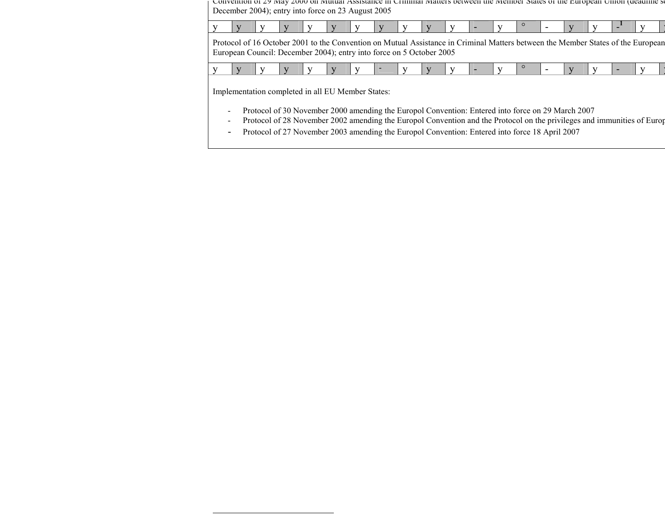Convention of 29 May 2000 on Mutual Assistance in Criminal Matters between the Member States of the European Union (deadline set December 2004); entry into force on 23 August 2005

| and the contract of the contract of the contract of the contract of the contract of the contract of the contract of<br>____<br>the contract of the contract of the contract of |
|--------------------------------------------------------------------------------------------------------------------------------------------------------------------------------|
|--------------------------------------------------------------------------------------------------------------------------------------------------------------------------------|

y

y

Protocol of 16 October 2001 to the Convention on Mutual Assistance in Criminal Matters between the Member States of the European European Council: December 2004); entry into force on 5 October 2005

|--|

Implementation completed in all EU Member States:

- -Protocol of 30 November 2000 amending the Europol Convention: Entered into force on 29 March 2007
- -Protocol of 28 November 2002 amending the Europol Convention and the Protocol on the privileges and immunities of Europ
- -Protocol of 27 November 2003 amending the Europol Convention: Entered into force 18 April 2007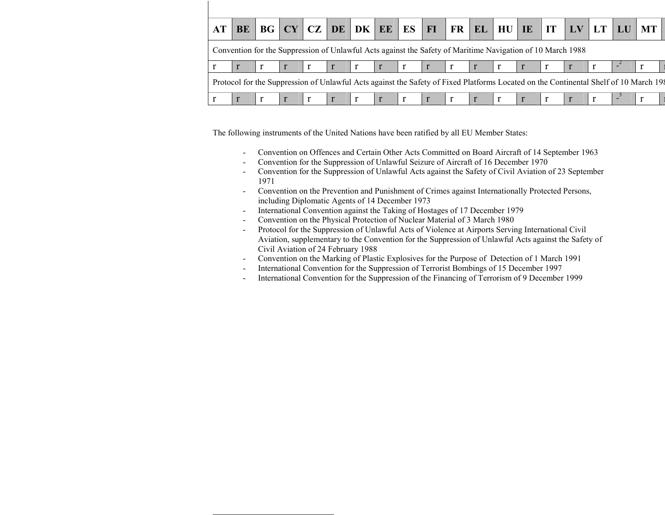| AT | BE                                                                                                                                   |  |  |  |  |  |              |  |  |  |  |                                                                                                            |  |  |  | BG CY CZ DE DK EE ES FI FR EL HU IE IT LV LT LU MT |  |
|----|--------------------------------------------------------------------------------------------------------------------------------------|--|--|--|--|--|--------------|--|--|--|--|------------------------------------------------------------------------------------------------------------|--|--|--|----------------------------------------------------|--|
|    |                                                                                                                                      |  |  |  |  |  |              |  |  |  |  | Convention for the Suppression of Unlawful Acts against the Safety of Maritime Navigation of 10 March 1988 |  |  |  |                                                    |  |
|    |                                                                                                                                      |  |  |  |  |  | $\mathbf{r}$ |  |  |  |  |                                                                                                            |  |  |  |                                                    |  |
|    | Protocol for the Suppression of Unlawful Acts against the Safety of Fixed Platforms Located on the Continental Shelf of 10 March 198 |  |  |  |  |  |              |  |  |  |  |                                                                                                            |  |  |  |                                                    |  |
|    |                                                                                                                                      |  |  |  |  |  |              |  |  |  |  |                                                                                                            |  |  |  |                                                    |  |

The following instruments of the United Nations have been ratified by all EU Member States:<br>- Convention on Offences and Certain Other Acts Committed on Board Aircraft of

- Convention on Offences and Certain Other Acts Committed on Board Aircraft of 14 September 1963<br>- Convention for the Suppression of Unlawful Seizure of Aircraft of 16 December 1970
- Convention for the Suppression of Unlawful Seizure of Aircraft of 16 December 1970 -
- Convention for the Suppression of Unlawful Acts against the Safety of Civil Aviation of 23 September
- 1971 Convention on the Prevention and Punishment of Crimes against Internationally Protected Persons, including Diplomatic Agents of 14 December 1973 -
- International Convention against the Taking of Hostages of 17 December 1979<br>Convention on the Physical Protection of Nuclear Material of 3 March 1980
- Convention on the Physical Protection of Nuclear Material of 3 March 1980<br>Protocol for the Suppression of Unlawful Acts of Violence at Airports Servir
- Protocol for the Suppression of Unlawful Acts of Violence at Airports Serving International Civil Aviation, supplementary to the Convention for the Suppression of Unlawful Acts against the Safety of Civil Aviation of 24 February 1988 -
- Convention on the Marking of Plastic Explosives for the Purpose of Detection of 1 March 1991
- International Convention for the Suppression of Terrorist Bombings of 15 December 1997<br>International Convention for the Suppression of the Financing of Terrorism of 9 December
- International Convention for the Suppression of the Financing of Terrorism of 9 December 1999